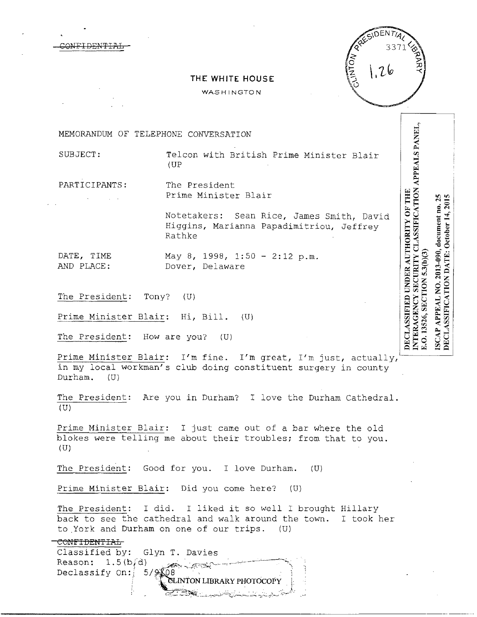Ļ

INTERAGENCY SECURITY CLASSIFICATION APPEALS PANEL,<br>E.O. 13526, SECTION 5.3(b)(3)

ISCAP APPEAL NO. 2013-090, document no. 25<br>DECLASSIFICATION DATE: October 14, 2015

DECLASSIFIED UNDER AUTHORITY OF THE

# **THE WHITE HOUSE**

WASHINGTON

MEMORANDUM OF TELEPHONE CONVERSATION

CONFIDENTIAL

SUBJECT: Telcon with British Prime Minister Blair (UP

PARTICIPANTS: The President Prime Minister Blair

> Notetakers: Sean Rice, James Smith, David Higgins, Marianna Papadimitriou, Jeffrey Rathke

DATE, TIME May 8, 1998, 1:50 - 2:12 p.m. AND PLACE: Dover, Delaware

The President: Tony? (U)

Prime Minister Blair: Hi, Bill. (U)

The President: How are you? (U)

Prime Minister Blair: I'm fine. I'm great, I'm just, actually, in my local workman's club doing constituent surgery in county Durham. (U)

The President: Are you in Durham? I love the Durham Cathedral. (U)

Prime Minister Blair: I just came out of a bar where the old blokes were telling me about their troubles; from that to you.  $(U)$ 

The President: Good for you. I love Durham. (U)

Prime Minister Blair: Did you come here? (U)

The President: I did. I liked it so well I brought Hillary back to see the cathedral and walk around the town. I took her to York and Durham on one of our trips. (U)

• '-::r'~ .-::."2J"~:.\_·\_~\_\_\_!.\_.r.-.,~i-:·,:,;;~~·~•~~~i-,\_~.,.:.:...-;.:.:..~~-,-: '~~- ' .. •'

## CONFIDENTIAL

Classified by: Glyn T. Davies Reason:  $1.5(b/d)$ Declassify On:  $5/9$ --·~---~~;,;, .· *{* ':~~-TON **LIBRARY PHOTOCOPY** 1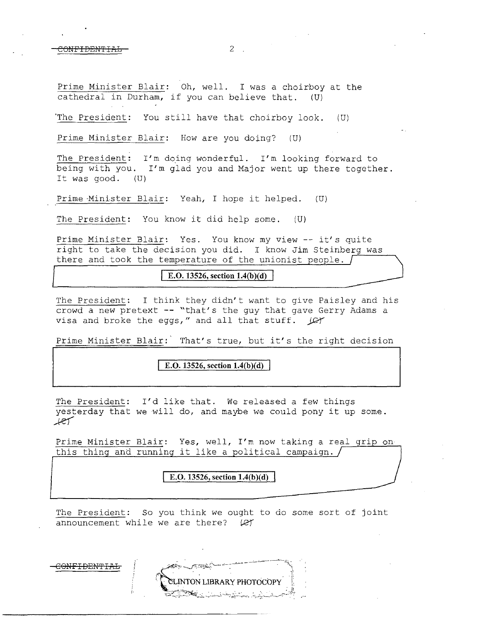CONFIDENTIAL 2 2

Prime Minister Blair: Oh, well. I was a choirboy at the cathedral in Durham, if you can believe that. (U)

'The President: You still have that choirboy look. (U)

Prime Minister Blair: How are you doing? (U)

The President: I'm doing wonderful. I'm looking forward to being with you. I'm glad you and Major went up there together. It was good. (U)

Prime Minister Blair: Yeah, I hope it helped. (U)

The President: You know it did help some. (U)

Prime Minister Blair: Yes. You know my view -- it's quite right to take the decision you did. I know Jim Steinberg was there and took the temperature of the unionist people.  $\int$ 

 $\boxed{\text{E.O. 13526, section 1.4(b)(d)}}$ 

The President: I think they didn't want to give Paisley and his crowd a new pretext -- "that's the guy that gave Gerry Adams a visa and broke the eggs," and all that stuff. *JC* 

Prime Minister Blair: That's true, but it's the right decision

**E.O. 13526, section 1.4(b)(d)** 

The President: I'd like that. We released a few things Ine riesident. I d like that. We released a lew things<br>yesterday that we will do, and maybe we could pony it up some. yesterda<br><mark>/l</mark>

Prime Minister Blair: Yes, well, I'm now taking a real grip on this thing and running it like a political campaign.  $/$ 

**E.O. 13526, section 1.4(b)(d)** 

The President: So you think we ought to do some sort of joint announcement while we are there?  $\varphi f$ 

**INTON LIBRARY PHOTOCOPY** 

**CONFIDENTIAL**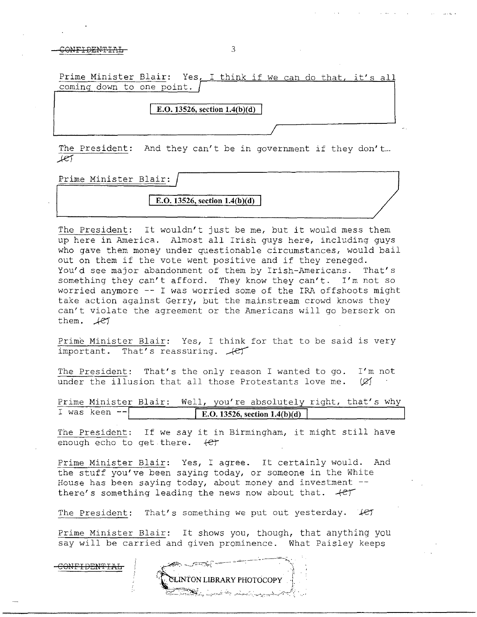### $\overline{O}$  and  $\overline{O}$   $\overline{O}$   $\overline{O}$   $\overline{O}$   $\overline{O}$   $\overline{O}$   $\overline{O}$   $\overline{O}$   $\overline{O}$   $\overline{O}$   $\overline{O}$   $\overline{O}$   $\overline{O}$   $\overline{O}$   $\overline{O}$   $\overline{O}$   $\overline{O}$   $\overline{O}$   $\overline{O}$   $\overline{O}$   $\overline{O}$   $\overline{O}$   $\overline{O}$

Prime Minister Blair: Yes, I think if we can do that, it's all coming down to one point. **E.O. 13526, section 1.4(b)(d)** 

The President: And they can't be in government if they don't...  $Let$ 

Prime Minister Blair:

 $E. O. 13526, section 1.4(b)(d)$ 

The President: It wouldn't just be me, but it would mess them up here in America. Almost all Irish guys here, including guys who gave them money under questionable circumstances, would bail out on them if the vote went positive and if they reneged. You'd see major abandonment of them by Irish-Americans. That's something they can't afford. They know they can't. I'm not so worried anymore -- I was worried some of the IRA offshoots might take action against Gerry, but the mainstream crowd knows they can't violate the agreement or the Americans will go berserk on them.  $/27$ 

Prime Minister Blair: Yes, I think for that to be said is very<br>important. That's reassuring.  $\mathcal{A}\mathcal{C}\mathcal{T}$ 

The President: That's the only reason I wanted to go. I'm not under the illusion that all those Protestants love me.  $(X)$ 

Prime Minister Blair: Well, you're absolutely right, that's why I was keen  $E. O. 13526,~ section~1.4(b)(d)$ 

The President: If we say it in Birmingham, it might still have enough echo to get there.  $+e^{i\theta}$ 

Prime Minister Blair: Yes, I agree. It certainly would. And the stuff you've been saying today, or someone in the White House has been saying today, about money and investment there's something leading the news now about that.  $+e^+$ 

The President: That's something we put out yesterday. Her

Prime Minister Blair: It shows you, though, that anything you say will be carried and given prominence. What Paisley keeps

ONFIDENTIAL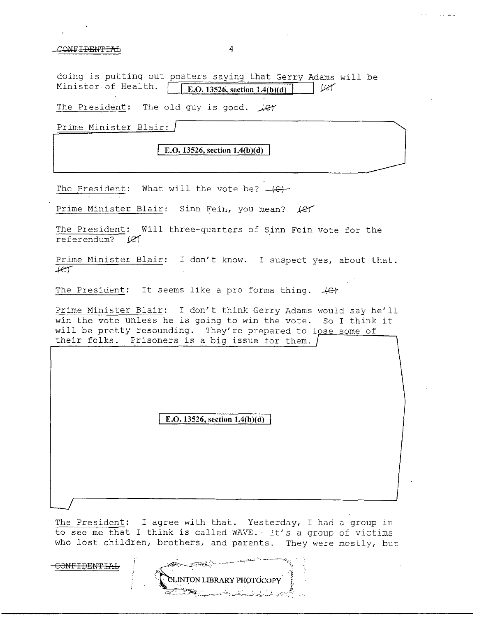#### CONFIDENTIAL: 4

doing is putting out posters saying that Gerry Adams will be<br>Minister of Health.  $\sqrt{\frac{\text{FQ}}{12526 \text{ section 1.4(b)(d)}}}$  (CY  $\vert$  E.O. 13526, section 1.4(b)(d)  $\vert$  $I$ 

The President: The old guy is good.  $\text{Ler}$ 

Prime Minister Blair:

E.O. 13526, section 1.4(b)(d)

The President: What will the vote be?  $-(C)$ 

Prime Minister Blair: Sinn Fein, you mean?  $\text{LFT}$ 

The President: Will three-quarters of Sinn Fein vote for the referendum?  $\cancel{(2)}$ 

Prime Minister Blair: I don't know. I suspect yes, about that.  $+er$ 

The President: It seems like a pro forma thing.  $+e^+$ 

Prime Minister Blair: I don't think Gerry Adams would say he'll win the vote unless he is going to win the vote. So I think it will be pretty resounding. They're prepared to lose some of their folks. Prisoners is a big issue for them.

**E.O. 13526, section 1.4(b)(d)** 

The President: I agree with that. Yesterday, I had a group in to see me that I think is called WAVE. It's a group of victims who lost children, brothers, and parents. They were mostly, but

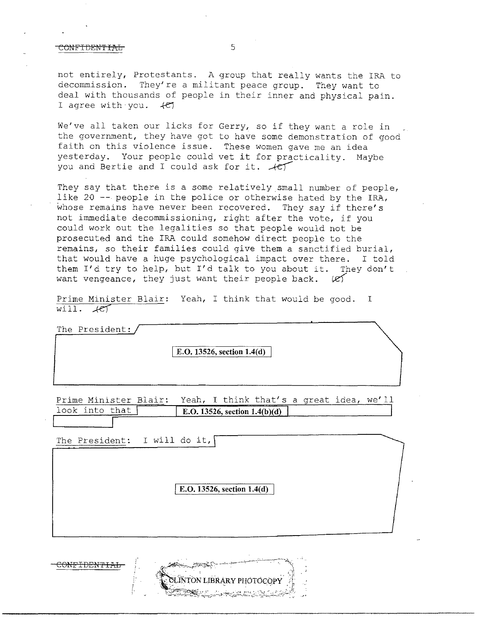## CONFIDENTIAL 5

not entirely, Protestants. A group that really wants the IRA to decommission. They're a militant peace group. They want to deal with thousands of people in their inner and physical pain. I agree with you.  $+e$ 

We've all taken our licks for Gerry, so if they want a role in the government, they have got to have some demonstration of good faith on this violence issue. These women gave me an idea yesterday. Your people could vet it for practicality. Maybe<br>you and Bertie and I could ask for it.  $\angle$ e

They say that there is a some relatively small number of people, like 20 -- people in the police or otherwise hated by the IRA, whose remains have never been recovered. They say if there's not immediate decommissioning, right after the vote, if you could work out the legalities so that people would not be prosecuted and the IRA could somehow direct people to the remains, so their families could give them a sanctified burial, that would have a huge psychological impact over there. I told them I'd try to help, but I'd talk to you about it. They don't want vengeance, they just want their people back.  $\mathscr{L}$ 

Prime Minister Blair: Yeah, I think that would be good. I will.  $+e$ 

| The President: |                            |  |
|----------------|----------------------------|--|
|                | E.O. 13526, section 1.4(d) |  |
|                |                            |  |

Prime Minister Blair: Yeah, I think that's a great idea, we' 11 look into that **F.O.** 13526, section 1.4(b)(d)

The President: I will do it,

[ E.O. **13526, section 1.4( d)** 

|  | <b>TON LIBRARY PHOTOCOPY</b>         |  |
|--|--------------------------------------|--|
|  | The College<br>المتراسم المتألف وسلك |  |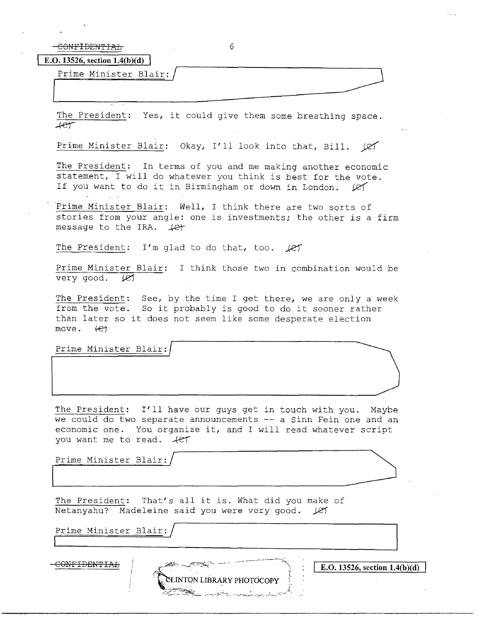$-COMFIDENTIAF$  (6

**E.O. 13526, section 1.4(b)(d)** 

CONFIDENTIALE<br>.13526, section 1.4(b)(d)<br>Prime Minister Blair://

The President: Yes, it could give them some breathing space.  $+e\tau$ 

 $\overline{\phantom{a}}$ 

Prime Minister Blair: Okay, I'll look into that, Bill.  $|C|$ 

The President: In terms of you and me making another economic statement, I will do whatever you think is best for the vote. If you want to do it in Birmingham or down in London.  $\ell$ er

Prime Minister Blair: Well, I think there are two sorts of stories from your angle: one is investments; the other is a firm message to the IRA.  $4e^+$ 

The President: I'm glad to do that, too.  $\angle$ ey

Prime Minister Blair: I think those two in combination would be very good.  $(2)$ 

The President: See, by the time I get there, we are only a week from the vote. So it probably is good to do it sooner rather than later so it does not seem like some desperate election move.  $\left\{\epsilon\right\}$ move.

Prime Minister Blair:

The President: I'll have our guys get in touch with you. Maybe we could do two separate announcements -- a Sinn Fein one and an economic one. You organize it, and I will read whatever script you want me to read.  $+e^+$ 

**ENTON LIBRARY PHOTOCOPY** 

Prime Minister Blair:

The President: That's all it is. What did you make of Netanyahu? Madeleine said you were very good. (e)

Prime Minister Blair:

 $\overline{\text{COMFIDENTIAL}}$   $\overline{\text{E.O. 13526, section 1.4(b)(d)}}$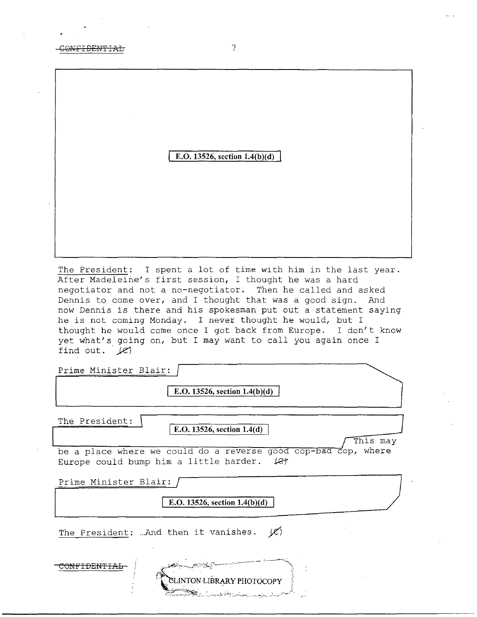**E.O.** 13526, section 1.4(b)(d)

The President: I spent a lot of time with him in the last year. After Madeleine's first session, I thought he was a hard negotiator and not a no-negotiator. Then he called and asked Dennis to come over, and I thought that was a good sign. And now Dennis is there and his spokesman put out a statement saying he is not coming Monday. I never thought he would, but I thought he would come once I got back from Europe. I don't know yet what's going on, but I may want to call you again once I find out. *Je}* 

Prime Minister Blair:

E.O. 13526, section 1.4(b)(d)

The President:

E.O. 13526, section 1.4(d)

This may

be a place where we could do a reverse good cop-bad cop, where Europe could bump him a little harder.  $\mathcal{L}$ 

Prime Minister Blair:

E.O. **13526, section l.4(b)(d)** 

The President: ... And then it vanishes.  $|C\rangle$ 

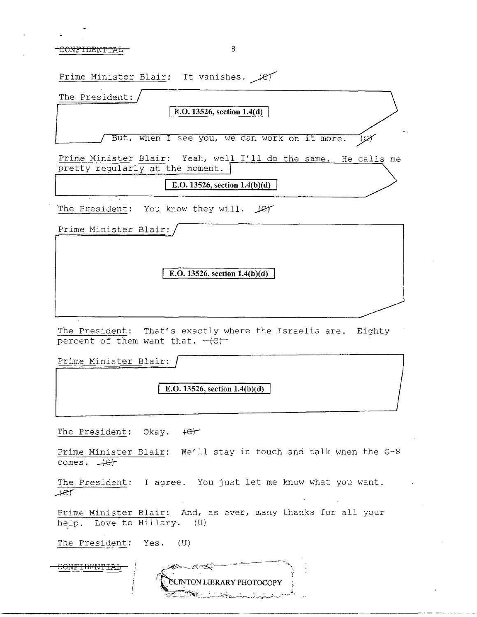CONFIDENTIAL 8

Prime Minister Blair: It vanishes.  $\mathcal{L}$ The President: I **E.O. 13526, section l.4(d)**  But, when I see you, we can work on it more. سليقا Prime Minister Blair: Yeah, well I'll do the same. He calls me pretty regularly at the moment. **E.O. 13526, section 1.4(b)(d)** The President: You know they will. Let Prime Minister Blair: **E.O. 13526, section 1.4(b)(d)** The President: That's exactly where the Israelis are. Eighty percent of them want that.  $-(c)$ Prime Minister Blair: **E.O. 13526, section l.4(b)(d)**  The President: Okay.  $\theta$ Prime Minister Blair: We'll stay in touch and talk when the G-8  $comes.$   $#er$ 

The President: I agree. You just let me know what you want. Aef

Prime Minister Blair: And, as ever, many thanks for all your help. Love to Hillary. (U)

LINTON LIBRARY PHOTOCOPY

The President: Yes. (U)

CONFIDEN'fIAL